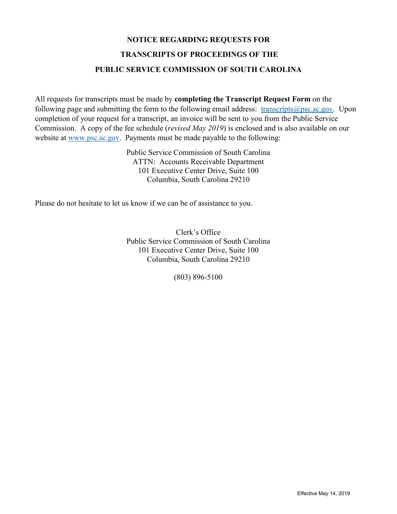# **NOTICE REGARDING REQUESTS FOR TRANSCRIPTS OF PROCEEDINGS OF THE PUBLIC SERVICE COMMISSION OF SOUTH CAROLINA**

All requests for transcripts must be made by **completing the Transcript Request Form** on the following page and submitting the form to the following email address:  $transcripts$ @psc.sc.gov. Upon completion of your request for a transcript, an invoice will be sent to you from the Public Service Commission. A copy of the fee schedule (*revised May 2019*) is enclosed and is also available on our website at [www.psc.sc.gov.](http://www.psc.sc.gov/) Payments must be made payable to the following:

> Public Service Commission of South Carolina ATTN: Accounts Receivable Department 101 Executive Center Drive, Suite 100 Columbia, South Carolina 29210

Please do not hesitate to let us know if we can be of assistance to you.

Clerk's Office Public Service Commission of South Carolina 101 Executive Center Drive, Suite 100 Columbia, South Carolina 29210

(803) 896-5100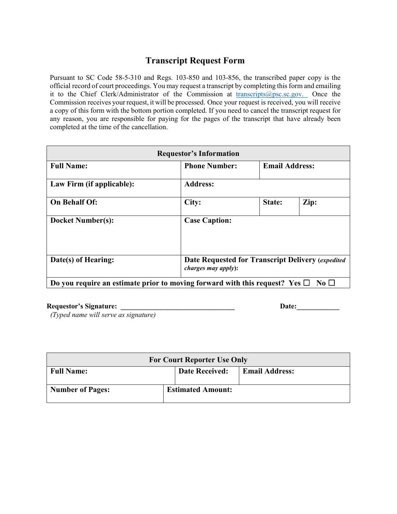## **Transcript Request Form**

Pursuant to SC Code 58-5-310 and Regs. 103-850 and 103-856, the transcribed paper copy is the official record of court proceedings. You may request a transcript by completing this form and emailing it to the Chief Clerk/Administrator of the Commission at [transcripts@psc.sc.gov.](mailto:transcripts@psc.sc.gov.) Once the Commission receives your request, it will be processed. Once your request is received, you will receive a copy of this form with the bottom portion completed. If you need to cancel the transcript request for any reason, you are responsible for paying for the pages of the transcript that have already been completed at the time of the cancellation.

| <b>Requestor's Information</b>                                                   |                      |                                                   |                       |  |
|----------------------------------------------------------------------------------|----------------------|---------------------------------------------------|-----------------------|--|
| <b>Full Name:</b>                                                                | <b>Phone Number:</b> |                                                   | <b>Email Address:</b> |  |
| Law Firm (if applicable):                                                        | <b>Address:</b>      |                                                   |                       |  |
| <b>On Behalf Of:</b>                                                             | City:                | State:                                            | Zip:                  |  |
| <b>Docket Number(s):</b>                                                         | <b>Case Caption:</b> |                                                   |                       |  |
| Date(s) of Hearing:                                                              | charges may apply):  | Date Requested for Transcript Delivery (expedited |                       |  |
| Do you require an estimate prior to moving forward with this request? Yes $\Box$ |                      |                                                   | $\mathbf{N}$ o $\Box$ |  |

**Requestor's Signature: \_\_\_\_\_\_\_\_\_\_\_\_\_\_\_\_\_\_\_\_\_\_\_\_\_\_\_\_\_\_\_\_ Date:\_\_\_\_\_\_\_\_\_\_\_\_** 

*(Typed name will serve as signature)*

| <b>For Court Reporter Use Only</b> |  |                          |                       |  |
|------------------------------------|--|--------------------------|-----------------------|--|
| <b>Full Name:</b>                  |  | <b>Date Received:</b>    | <b>Email Address:</b> |  |
| <b>Number of Pages:</b>            |  | <b>Estimated Amount:</b> |                       |  |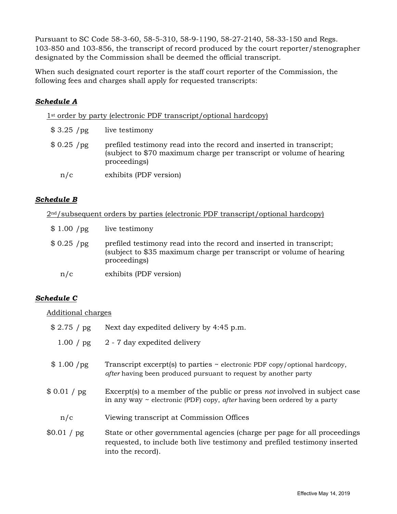Pursuant to SC Code 58-3-60, 58-5-310, 58-9-1190, 58-27-2140, 58-33-150 and Regs. 103-850 and 103-856, the transcript of record produced by the court reporter/stenographer designated by the Commission shall be deemed the official transcript.

When such designated court reporter is the staff court reporter of the Commission, the following fees and charges shall apply for requested transcripts:

#### *Schedule A*

1st order by party (electronic PDF transcript/optional hardcopy)

| \$3.25 / pg | live testimony                                                                                                                                             |
|-------------|------------------------------------------------------------------------------------------------------------------------------------------------------------|
| \$0.25/pg   | prefiled testimony read into the record and inserted in transcript;<br>(subject to \$70 maximum charge per transcript or volume of hearing<br>proceedings) |
| n/c         | exhibits (PDF version)                                                                                                                                     |

#### *Schedule B*

2nd/subsequent orders by parties (electronic PDF transcript/optional hardcopy)

| \$1.00 /pg  | live testimony                                                                                                                                             |
|-------------|------------------------------------------------------------------------------------------------------------------------------------------------------------|
| $$0.25$ /pg | prefiled testimony read into the record and inserted in transcript;<br>(subject to \$35 maximum charge per transcript or volume of hearing<br>proceedings) |
| n/c         | exhibits (PDF version)                                                                                                                                     |

### *Schedule C*

#### Additional charges

| \$2.75 / pg | Next day expedited delivery by 4:45 p.m.                                                                                                                                    |
|-------------|-----------------------------------------------------------------------------------------------------------------------------------------------------------------------------|
|             | $1.00 / pg$ 2 - 7 day expedited delivery                                                                                                                                    |
| \$1.00/pg   | Transcript excerpt(s) to parties $\sim$ electronic PDF copy/optional hardcopy,<br><i>after</i> having been produced pursuant to request by another party                    |
| \$0.01 / pg | Excerpt(s) to a member of the public or press not involved in subject case<br>in any way $\sim$ electronic (PDF) copy, <i>after</i> having been ordered by a party          |
| n/c         | Viewing transcript at Commission Offices                                                                                                                                    |
| \$0.01 / pg | State or other governmental agencies (charge per page for all proceedings<br>requested, to include both live testimony and prefiled testimony inserted<br>into the record). |